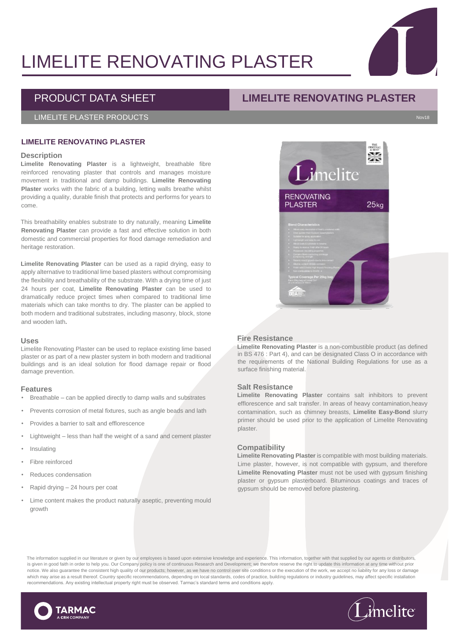# LIMELITE RENOVATING PLASTER

# PRODUCT DATA SHEET **LIMELITE RENOVATING PLASTER**

# LIMELITE PLASTER PRODUCTS Nov18

# **LIMELITE RENOVATING PLASTER**

#### **Description**

**Limelite Renovating Plaster** is a lightweight, breathable fibre reinforced renovating plaster that controls and manages moisture movement in traditional and damp buildings. **Limelite Renovating Plaster** works with the fabric of a building, letting walls breathe whilst providing a quality, durable finish that protects and performs for years to come.

This breathability enables substrate to dry naturally, meaning **Limelite Renovating Plaster** can provide a fast and effective solution in both domestic and commercial properties for flood damage remediation and heritage restoration.

**Limelite Renovating Plaster** can be used as a rapid drying, easy to apply alternative to traditional lime based plasters without compromising the flexibility and breathability of the substrate. With a drying time of just 24 hours per coat, **Limelite Renovating Plaster** can be used to dramatically reduce project times when compared to traditional lime materials which can take months to dry. The plaster can be applied to both modern and traditional substrates, including masonry, block, stone and wooden lath**.**

#### **Uses**

Limelite Renovating Plaster can be used to replace existing lime based plaster or as part of a new plaster system in both modern and traditional buildings and is an ideal solution for flood damage repair or flood damage prevention.

#### **Features**

- Breathable can be applied directly to damp walls and substrates
- Prevents corrosion of metal fixtures, such as angle beads and lath
- Provides a barrier to salt and efflorescence
- Lightweight less than half the weight of a sand and cement plaster
- **Insulating**
- Fibre reinforced
- Reduces condensation
- Rapid drying 24 hours per coat
- Lime content makes the product naturally aseptic, preventing mould growth

### **Fire Resistance**

**Limelite Renovating Plaster** is a non-combustible product (as defined in BS 476 : Part 4), and can be designated Class O in accordance with the requirements of the National Building Regulations for use as a surface finishing material.

#### **Salt Resistance**

**Limelite Renovating Plaster** contains salt inhibitors to prevent efflorescence and salt transfer. In areas of heavy contamination,heavy contamination, such as chimney breasts, **Limelite Easy-Bond** slurry primer should be used prior to the application of Limelite Renovating plaster.

#### **Compatibility**

**Limelite Renovating Plaster** is compatible with most building materials. Lime plaster, however, is not compatible with gypsum, and therefore **Limelite Renovating Plaster** must not be used with gypsum finishing plaster or gypsum plasterboard. Bituminous coatings and traces of gypsum should be removed before plastering.

The information supplied in our literature or given by our employees is based upon extensive knowledge and experience. This information, together with that supplied by our agents or distributors, is given in good faith in order to help you. Our Company policy is one of continuous Research and Development; we therefore reserve the right to update this information at any time without prior notice. We also quarantee the consistent high quality of our products; however, as we have no control over site conditions or the execution of the work, we accept no liability for any loss or damage which may arise as a result thereof. Country specific recommendations, depending on local standards, codes of practice, building regulations or industry guidelines, may affect specific installation recommendations. Any existing intellectual property right must be observed. Tarmac's standard terms and conditions apply.







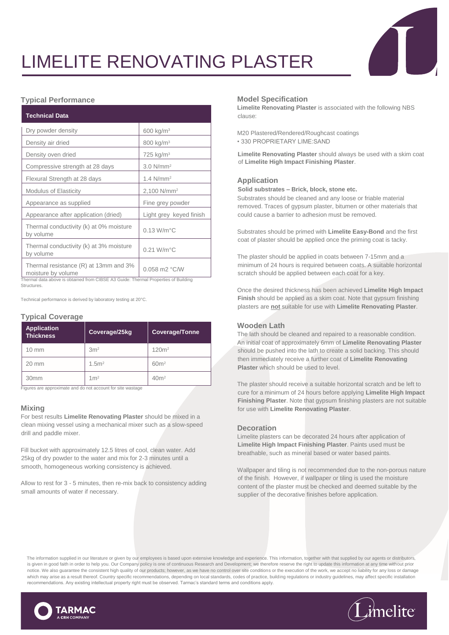# LIMELITE RENOVATING PLASTER

# **Typical Performance**

| <b>Technical Data</b>                                       |                           |
|-------------------------------------------------------------|---------------------------|
| Dry powder density                                          | 600 kg/m <sup>3</sup>     |
| Density air dried                                           | 800 kg/m <sup>3</sup>     |
| Density oven dried                                          | 725 kg/m <sup>3</sup>     |
| Compressive strength at 28 days                             | $3.0 N/mm^2$              |
| Flexural Strength at 28 days                                | 1.4 $N/mm^2$              |
| <b>Modulus of Elasticity</b>                                | 2,100 N/mm <sup>2</sup>   |
| Appearance as supplied                                      | Fine grey powder          |
| Appearance after application (dried)                        | Light grey keyed finish   |
| Thermal conductivity (k) at 0% moisture<br>by volume        | $0.13$ W/m $^{\circ}$ C   |
| Thermal conductivity (k) at 3% moisture<br>by volume        | $0.21$ W/m $^{\circ}$ C   |
| Thermal resistance (R) at 13mm and 3%<br>moisture by volume | $0.058$ m2 $^{\circ}$ C/W |

Thermal data above is obtained from CIBSE A3 Guide: Thermal Properties of Building **Structures** 

Technical performance is derived by laboratory testing at 20°C.

# **Typical Coverage**

| <b>Application</b><br><b>Thickness</b> | Coverage/25kg    | <b>Coverage/Tonne</b> |
|----------------------------------------|------------------|-----------------------|
| $10 \text{ mm}$                        | 3m <sup>2</sup>  | 120m <sup>2</sup>     |
| $20 \text{ mm}$                        | 1.5 <sup>2</sup> | 60 <sup>m²</sup>      |
| 30 <sub>mm</sub>                       | 1 <sup>m²</sup>  | 40 <sup>m²</sup>      |

Figures are approximate and do not account for site wastage

# **Mixing**

For best results **Limelite Renovating Plaster** should be mixed in a clean mixing vessel using a mechanical mixer such as a slow-speed drill and paddle mixer.

Fill bucket with approximately 12.5 litres of cool, clean water. Add 25kg of dry powder to the water and mix for 2-3 minutes until a smooth, homogeneous working consistency is achieved.

Allow to rest for 3 - 5 minutes, then re-mix back to consistency adding small amounts of water if necessary.

#### **Model Specification**

**Limelite Renovating Plaster** is associated with the following NBS clause:

M20 Plastered/Rendered/Roughcast coatings • 330 PROPRIETARY LIME:SAND

**Limelite Renovating Plaster** should always be used with a skim coat of **Limelite High Impact Finishing Plaster**.

#### **Application**

**Solid substrates – Brick, block, stone etc.** 

Substrates should be cleaned and any loose or friable material removed. Traces of gypsum plaster, bitumen or other materials that could cause a barrier to adhesion must be removed.

Substrates should be primed with **Limelite Easy-Bond** and the first coat of plaster should be applied once the priming coat is tacky.

The plaster should be applied in coats between 7-15mm and a minimum of 24 hours is required between coats. A suitable horizontal scratch should be applied between each coat for a key.

Once the desired thickness has been achieved **Limelite High Impact Finish** should be applied as a skim coat. Note that gypsum finishing plasters are **not** suitable for use with **Limelite Renovating Plaster**.

# **Wooden Lath**

The lath should be cleaned and repaired to a reasonable condition. An initial coat of approximately 6mm of **Limelite Renovating Plaster** should be pushed into the lath to create a solid backing. This should then immediately receive a further coat of **Limelite Renovating Plaster** which should be used to level.

The plaster should receive a suitable horizontal scratch and be left to cure for a minimum of 24 hours before applying **Limelite High Impact Finishing Plaster**. Note that gypsum finishing plasters are not suitable for use with **Limelite Renovating Plaster**.

#### **Decoration**

Limelite plasters can be decorated 24 hours after application of **Limelite High Impact Finishing Plaster**. Paints used must be breathable, such as mineral based or water based paints.

Wallpaper and tiling is not recommended due to the non-porous nature of the finish. However, if wallpaper or tiling is used the moisture content of the plaster must be checked and deemed suitable by the supplier of the decorative finishes before application.

The information supplied in our literature or given by our employees is based upon extensive knowledge and experience. This information, together with that supplied by our agents or distributors, is given in good faith in order to help you. Our Company policy is one of continuous Research and Development; we therefore reserve the right to update this information at any time without prior notice. We also guarantee the consistent high quality of our products; however, as we have no control over site conditions or the execution of the work, we accept no liability for any loss or damage which may arise as a result thereof. Country specific recommendations, depending on local standards, codes of practice, building regulations or industry guidelines, may affect specific installation recommendations. Any existing intellectual property right must be observed. Tarmac's standard terms and conditions apply.